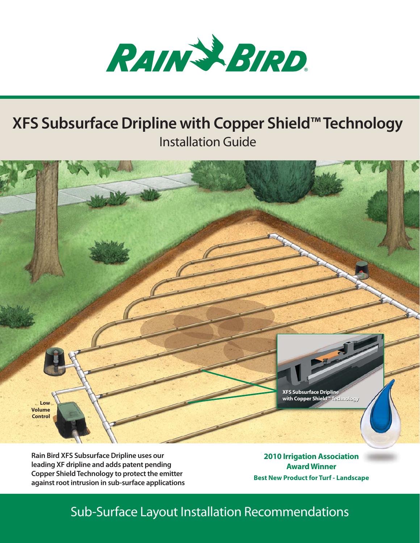

# **XFS Subsurface Dripline with Copper Shield™ Technology** Installation Guide



**Rain Bird XFS Subsurface Dripline uses our leading XF dripline and adds patent pending Copper Shield Technology to protect the emitter against root intrusion in sub-surface applications**

**2010 Irrigation Association Award Winner Best New Product for Turf - Landscape**

## Sub-Surface Layout Installation Recommendations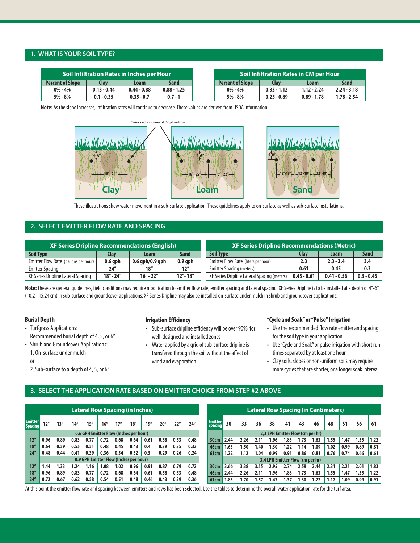#### **1. WHAT IS YOUR SOIL TYPE?**

| Soil Infiltration Rates in Inches per Hour |               |               |               |  |                         |               | Soil Infiltration Rates in CM per Hour : |               |
|--------------------------------------------|---------------|---------------|---------------|--|-------------------------|---------------|------------------------------------------|---------------|
| <b>Percent of Slope</b>                    | Clay          | Loam          | Sand          |  | <b>Percent of Slope</b> | Clav          | Loam                                     | <b>Sand</b>   |
| $0\% - 4\%$                                | $0.13 - 0.44$ | $0.44 - 0.88$ | $0.88 - 1.25$ |  | $0\% - 4\%$             | $0.33 - 1.12$ | $1.12 - 2.24$                            | $2.24 - 3.18$ |
| $5\% - 8\%$                                | $0.1 - 0.35$  | $0.35 - 0.7$  | $0.7 - 1$     |  | 5% - 8%                 | $0.25 - 0.89$ | $0.89 - 1.78$                            | $1.78 - 2.54$ |

**Note:** As the slope increases, infiltration rates will continue to decrease. These values are derived from USDA information.





These illustrations show water movement in a sub-surface application. These guidelines apply to on-surface as well as sub-surface installations.

## **2. SELECT EMITTER FLOW RATE AND SPACING**

| <b>XF Series Dripline Recommendations (English)</b> |               |                   |             | <b>XF Series Dripline Recommendations (Metric)</b> |               |               |              |  |  |
|-----------------------------------------------------|---------------|-------------------|-------------|----------------------------------------------------|---------------|---------------|--------------|--|--|
| <b>Soil Type</b>                                    | Clav          | Loam              | Sand        | <b>Soil Type</b>                                   | <b>Clay</b>   | Loam          | <b>Sand</b>  |  |  |
| Emitter Flow Rate (gallons per hour)                | $0.6$ qph     | $0.6$ gph/0.9 gph | $0.9$ qph   | Emitter Flow Rate (liters per hour)                | 2.3           | $2.3 - 3.4$   | 3.4          |  |  |
| <b>Emitter Spacing</b>                              | 24"           | 18″               | 12''        | <b>Emitter Spacing (meters)</b>                    | 0.61          | 0.45          | 0.3          |  |  |
| XF Series Dripline Lateral Spacing                  | $18'' - 24''$ | $16'' - 22''$     | $12" - 18"$ | XF Series Dripline Lateral Spacing (meters)        | $0.45 - 0.61$ | $0.41 - 0.56$ | $0.3 - 0.45$ |  |  |

**Note:**These are general guidelines, field conditions may require modification to emitter flow rate, emitter spacing and lateral spacing. XF Series Dripline is to be installed at a depth of 4"-6" (10.2 - 15.24 cm) in sub-surface and groundcover applications. XF Series Dripline may also be installed on-surface under mulch in shrub and groundcover applications.

#### **Burial Depth**

- Turfgrass Applications: Recommended burial depth of 4, 5, or 6"
- Shrub and Groundcover Applications:
	- 1. On-surface under mulch

2. Sub-surface to a depth of 4, 5, or 6"

#### **Irrigation Efficiency**

- Sub-surface dripline efficiency will be over 90% for well-designed and installed zones
- Water applied by a grid of sub-surface dripline is transfered through the soil without the affect of wind and evaporation

#### **"Cycle and Soak" or "Pulse" Irrigation**

- Use the recommended flow rate emitter and spacing for the soil type in your application
- Use "Cycle and Soak"or pulse irrigation with short run times separated by at least one hour
- Clay soils, slopes or non-uniform soils may require more cycles that are shorter, or a longer soak interval

### **3. SELECT THE APPLICATION RATE BASED ON EMITTER CHOICE FROM STEP #2 ABOVE**

|                                  | <b>Lateral Row Spacing (in Inches)</b> |      |      |      |                                        |      | <b>Lateral Row Spacing (in Centimeters)</b> |      |      |      |      |                                  |      |      |      |                                  |      |      |      |      |      |      |      |
|----------------------------------|----------------------------------------|------|------|------|----------------------------------------|------|---------------------------------------------|------|------|------|------|----------------------------------|------|------|------|----------------------------------|------|------|------|------|------|------|------|
| <b>Emitter</b><br><b>Spacing</b> | 12''                                   | 13'' | 14'' | 15'' | 16''                                   | 17'' | 18''                                        | 19'' | 20'' | 22"  | 24'' | <b>Emitter</b><br><b>Spacing</b> | 30   | 33   | 36   | 38                               | 41   | 43   | 46   | 48   | 51   | 56   | 61   |
|                                  |                                        |      |      |      | 0.6 GPH Emitter Flow (Inches per hour) |      |                                             |      |      |      |      | 2.3 LPH Emitter Flow (cm per hr) |      |      |      |                                  |      |      |      |      |      |      |      |
| 12''                             | 0.96                                   | 0.89 | 0.83 | 0.77 | 0.72                                   | 0.68 | 0.64                                        | 0.61 | 0.58 | 0.53 | 0.48 | 30cm                             | 2.44 | 2.26 | 2.11 | 1.96                             | 1.83 | 1.73 | 1.63 | 1.55 | 1.47 | 1.35 | 1.22 |
| 18''                             | 0.64                                   | 0.59 | 0.55 | 0.51 | 0.48                                   | 0.45 | 0.43                                        | 0.4  | 0.39 | 0.35 | 0.32 | <b>46cm</b>                      | 1.63 | 1.50 | 1.40 | 1.30                             | 1.22 | 1.14 | 1.09 | 1.02 | 0.99 | 0.89 | 0.81 |
| 24''                             | 0.48                                   | 0.44 | 0.41 | 0.39 | 0.36                                   | 0.34 | 0.32                                        | 0.3  | 0.29 | 0.26 | 0.24 | <b>61cm</b>                      | 1.22 | 1.12 | 1.04 | 0.99                             | 0.91 | 0.86 | 0.81 | 0.76 | 0.74 | 0.66 | 0.61 |
|                                  |                                        |      |      |      | 0.9 GPH Emitter Flow (Inches per hour) |      |                                             |      |      |      |      |                                  |      |      |      | 3,4 LPH Emitter Flow (cm per hr) |      |      |      |      |      |      |      |
| 12''                             | 1.44                                   | 1.33 | 1.24 | 1.16 | 1.08                                   | 1.02 | 0.96                                        | 0.91 | 0.87 | 0.79 | 0.72 | 30cm                             | 3.66 | 3.38 | 3.15 | 2.95                             | 2.74 | 2.59 | 2.44 | 2.31 | 2.21 | 2.01 | 1.83 |
| 18''                             | 0.96                                   | 0.89 | 0.83 | 0.77 | 0.72                                   | 0.68 | 0.64                                        | 0.61 | 0.58 | 0.53 | 0.48 | <b>46cm</b>                      | 2.44 | 2.26 | 2.11 | 1.96                             | 1.83 | 1.73 | 1.63 | 1.55 | 1.47 | 1.35 | 1.22 |
| 24''                             | 0.72                                   | 0.67 | 0.62 | 0.58 | 0.54                                   | 0.51 | 0.48                                        | 0.46 | 0.43 | 0.39 | 0.36 | 61cm                             | 1.83 | 1.70 | 1.57 | 1.47                             | 1.37 | 1.30 | 1.22 | 1.17 | 1.09 | 0.99 | 0.91 |

At this point the emitter flow rate and spacing between emitters and rows has been selected. Use the tables to determine the overall water application rate for the turf area.

or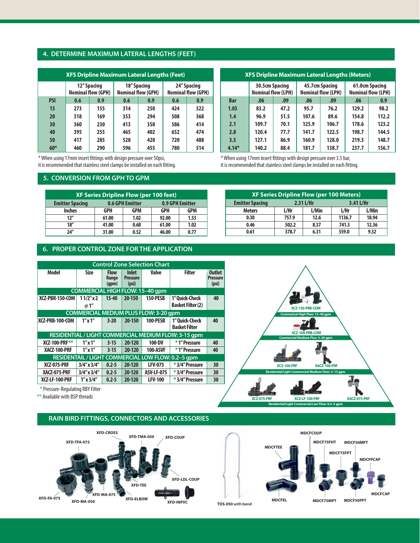#### **4. DETERMINE MAXIMUM LATERAL LENGTHS (FEET)**

| <b>XFS Dripline Maximum Lateral Lengths (Feet)</b> |     |                                          |                                          |     |                                          |     |  |  |  |  |  |  |
|----------------------------------------------------|-----|------------------------------------------|------------------------------------------|-----|------------------------------------------|-----|--|--|--|--|--|--|
|                                                    |     | 12" Spacing<br><b>Nominal flow (GPH)</b> | 18" Spacing<br><b>Nominal flow (GPH)</b> |     | 24" Spacing<br><b>Nominal flow (GPH)</b> |     |  |  |  |  |  |  |
| <b>PSI</b>                                         | 0.6 | 0.9                                      | 0.6                                      | 0.9 | 0.6                                      | 0.9 |  |  |  |  |  |  |
| 15                                                 | 273 | 155                                      | 314                                      | 250 | 424                                      | 322 |  |  |  |  |  |  |
| 20                                                 | 318 | 169                                      | 353                                      | 294 | 508                                      | 368 |  |  |  |  |  |  |
| 30                                                 | 360 | 230                                      | 413                                      | 350 | 586                                      | 414 |  |  |  |  |  |  |
| 40                                                 | 395 | 255                                      | 465                                      | 402 | 652                                      | 474 |  |  |  |  |  |  |
| 50                                                 | 417 | 285                                      | 528                                      | 420 | 720                                      | 488 |  |  |  |  |  |  |
| $60*$                                              | 460 | 290                                      | 596                                      | 455 | 780                                      | 514 |  |  |  |  |  |  |

\* When using 17mm insert fittings with design pressure over 50psi, it is recommended that stainless steel clamps be installed on each fitting.

#### **5. CONVERSION FROM GPH TO GPM**

| <b>XF Series Dripline Flow (per 100 feet)</b> |                        |                 |            |            |  |  |  |  |  |  |  |
|-----------------------------------------------|------------------------|-----------------|------------|------------|--|--|--|--|--|--|--|
| <b>Emitter Spacing</b>                        | <b>0.6 GPH Emitter</b> | 0.9 GPH Emitter |            |            |  |  |  |  |  |  |  |
| <b>Inches</b>                                 | <b>GPH</b>             | <b>GPM</b>      | <b>GPH</b> | <b>GPM</b> |  |  |  |  |  |  |  |
| 12''                                          | 61.00                  | 1.02            | 92.00      | 1.53       |  |  |  |  |  |  |  |
| 18''                                          | 41.00                  | 0.68            | 61.00      | 1.02       |  |  |  |  |  |  |  |
| 24"                                           | 31.00                  | 0.52            | 46.00      | 0.77       |  |  |  |  |  |  |  |

#### **6. PROPER CONTROL ZONE FOR THE APPLICATION**

| <b>XFS Dripline Maximum Lateral Lengths (Meters)</b> |                                             |      |       |                                             |                                             |       |  |  |  |  |  |  |
|------------------------------------------------------|---------------------------------------------|------|-------|---------------------------------------------|---------------------------------------------|-------|--|--|--|--|--|--|
|                                                      | 30.5cm Spacing<br><b>Nominal flow (LPH)</b> |      |       | 45.7cm Spacing<br><b>Nominal flow (LPH)</b> | 61.0cm Spacing<br><b>Nominal flow (LPH)</b> |       |  |  |  |  |  |  |
| <b>Bar</b>                                           | .06                                         | .09  | .06   | .09                                         | .06                                         | 0.9   |  |  |  |  |  |  |
| 1.03                                                 | 83.2                                        | 47.2 | 95.7  | 76.2                                        | 129.2                                       | 98.2  |  |  |  |  |  |  |
| 1.4                                                  | 96.9                                        | 51.5 | 107.6 | 89.6                                        | 154.8                                       | 112.2 |  |  |  |  |  |  |
| 2.1                                                  | 109.7                                       | 70.1 | 125.9 | 106.7                                       | 178.6                                       | 123.2 |  |  |  |  |  |  |
| 2.8                                                  | 120.4                                       | 77.7 | 141.7 | 122.5                                       | 198.7                                       | 144.5 |  |  |  |  |  |  |
| 3.5                                                  | 127.1                                       | 86.9 | 160.9 | 128.0                                       | 219.5                                       | 148.7 |  |  |  |  |  |  |
| $4.14*$                                              | 140.2                                       | 88.4 | 181.7 | 138.7                                       | 237.7                                       | 156.7 |  |  |  |  |  |  |

\* When using 17mm insert fittings with design pressure over 3.5 bar, it is recommended that stainless steel clamps be installed on each fitting.

| <b>XF Series Dripline Flow (per 100 Meters)</b>  |       |       |        |       |  |  |  |  |  |  |
|--------------------------------------------------|-------|-------|--------|-------|--|--|--|--|--|--|
| 2.31 L/Hr<br>3.41 L/Hr<br><b>Emitter Spacing</b> |       |       |        |       |  |  |  |  |  |  |
| <b>Meters</b>                                    | L/Hr  | L/Min | L/Hr   | L/Min |  |  |  |  |  |  |
| 0.30                                             | 757.9 | 12.6  | 1136.7 | 18.94 |  |  |  |  |  |  |
| 0.46                                             | 502.2 | 8.37  | 741.3  | 12.36 |  |  |  |  |  |  |
| 0.61                                             | 378.7 | 6.31  | 559.0  | 9.32  |  |  |  |  |  |  |

**Commerical High Flow: 15–40 gpm XCZ-150-PRB-COM**

| <b>Control Zone Selection Chart</b> |                                        |                               |                                          |                                              |                                                      |                                           |  |  |  |  |
|-------------------------------------|----------------------------------------|-------------------------------|------------------------------------------|----------------------------------------------|------------------------------------------------------|-------------------------------------------|--|--|--|--|
| Model                               | <b>Size</b>                            | <b>Flow</b><br>Range<br>(qpm) | <b>Inlet</b><br><b>Pressure</b><br>(psi) | <b>Valve</b>                                 | <b>Filter</b>                                        | <b>Outlet</b><br><b>Pressure</b><br>(psi) |  |  |  |  |
|                                     | <b>COMMERCIAL HIGH FLOW: 15-40 gpm</b> |                               |                                          |                                              |                                                      |                                           |  |  |  |  |
| XCZ-PBR-150-COM                     | $11/2''$ x 2<br>$\omega$ 1"            | $15 - 40$                     | 20-150                                   | <b>150-PESB</b>                              | 1" Ouick-Check<br><b>Basket Filter (2)</b>           | 40                                        |  |  |  |  |
|                                     |                                        |                               |                                          | <b>COMMERCIAL MEDIUM PLUS FLOW: 3-20 gpm</b> |                                                      |                                           |  |  |  |  |
| XCZ-PRB-100-COM                     | $1''$ x $1''$                          | $3 - 20$                      | 20-150                                   | <b>100-PESB</b>                              | 1" Ouick-Check<br><b>Basket Filter</b>               | 40                                        |  |  |  |  |
|                                     |                                        |                               |                                          |                                              | RESIDENTIAL / LIGHT COMMERCIAL MEDIUM FLOW: 3-15 gpm |                                           |  |  |  |  |
| $X$ CZ-100-PRF $**$                 | $1''$ x $1''$                          | $3 - 15$                      | 20-120                                   | 100-DV                                       | *1" Pressure                                         | 40                                        |  |  |  |  |
| XACZ-100-PRF                        | $1''$ x $1''$                          | $3 - 15$                      | 20-120                                   | 100-ASVF                                     | * 1" Pressure                                        | 40                                        |  |  |  |  |
|                                     |                                        |                               |                                          |                                              | RESIDENTAIL / LIGHT COMMERCIAL LOW FLOW: 0.2-5 gpm   |                                           |  |  |  |  |
| <b>XCZ-075-PRF</b>                  | $3/4''$ x $3/4''$                      | $0.2 - 5$                     | 20-120                                   | <b>LFV-075</b>                               | *3/4" Pressure                                       | 30                                        |  |  |  |  |
| XACZ-075-PRF                        | $3/4''$ x $3/4''$                      | $0.2 - 5$                     | 20-120                                   | <b>ASV-LF-075</b>                            | *3/4" Pressure                                       | 30                                        |  |  |  |  |
| <b>XCZ-LF-100-PRF</b>               | $1''$ x $3/4''$                        | $0.2 - 5$                     | 20-120                                   | <b>LFV-100</b>                               | *3/4" Pressure                                       | 30                                        |  |  |  |  |

\* Pressure-Regulating RBY Filter

\*\* Available with BSP threads

#### **RAIN BIRD FITTINGS, CONNECTORS AND ACCESSORIES**